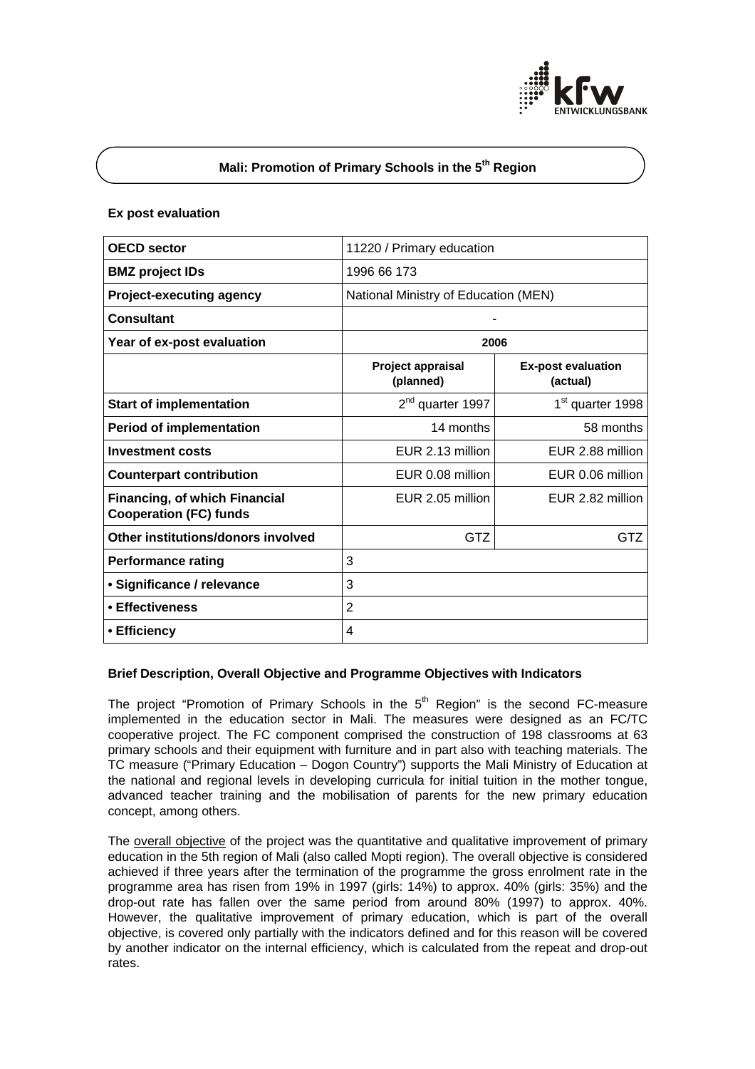

# **Mali: Promotion of Primary Schools in the 5th Region**

#### **Ex post evaluation**

| <b>OECD</b> sector                                                    | 11220 / Primary education            |                                       |
|-----------------------------------------------------------------------|--------------------------------------|---------------------------------------|
| <b>BMZ</b> project IDs                                                | 1996 66 173                          |                                       |
| <b>Project-executing agency</b>                                       | National Ministry of Education (MEN) |                                       |
| <b>Consultant</b>                                                     |                                      |                                       |
| Year of ex-post evaluation                                            | 2006                                 |                                       |
|                                                                       | Project appraisal<br>(planned)       | <b>Ex-post evaluation</b><br>(actual) |
| <b>Start of implementation</b>                                        | 2 <sup>nd</sup> quarter 1997         | 1 <sup>st</sup> quarter 1998          |
| <b>Period of implementation</b>                                       | 14 months                            | 58 months                             |
| <b>Investment costs</b>                                               | EUR 2.13 million                     | EUR 2.88 million                      |
| <b>Counterpart contribution</b>                                       | EUR 0.08 million                     | EUR 0.06 million                      |
| <b>Financing, of which Financial</b><br><b>Cooperation (FC) funds</b> | EUR 2.05 million                     | EUR 2.82 million                      |
| Other institutions/donors involved                                    | GTZ                                  | GTZ                                   |
| <b>Performance rating</b>                                             | 3                                    |                                       |
| · Significance / relevance                                            | 3                                    |                                       |
| • Effectiveness                                                       | $\overline{2}$                       |                                       |
| • Efficiency                                                          | 4                                    |                                       |

## **Brief Description, Overall Objective and Programme Objectives with Indicators**

The project "Promotion of Primary Schools in the  $5<sup>th</sup>$  Region" is the second FC-measure implemented in the education sector in Mali. The measures were designed as an FC/TC cooperative project. The FC component comprised the construction of 198 classrooms at 63 primary schools and their equipment with furniture and in part also with teaching materials. The TC measure ("Primary Education – Dogon Country") supports the Mali Ministry of Education at the national and regional levels in developing curricula for initial tuition in the mother tongue, advanced teacher training and the mobilisation of parents for the new primary education concept, among others.

The overall objective of the project was the quantitative and qualitative improvement of primary education in the 5th region of Mali (also called Mopti region). The overall objective is considered achieved if three years after the termination of the programme the gross enrolment rate in the programme area has risen from 19% in 1997 (girls: 14%) to approx. 40% (girls: 35%) and the drop-out rate has fallen over the same period from around 80% (1997) to approx. 40%. However, the qualitative improvement of primary education, which is part of the overall objective, is covered only partially with the indicators defined and for this reason will be covered by another indicator on the internal efficiency, which is calculated from the repeat and drop-out rates.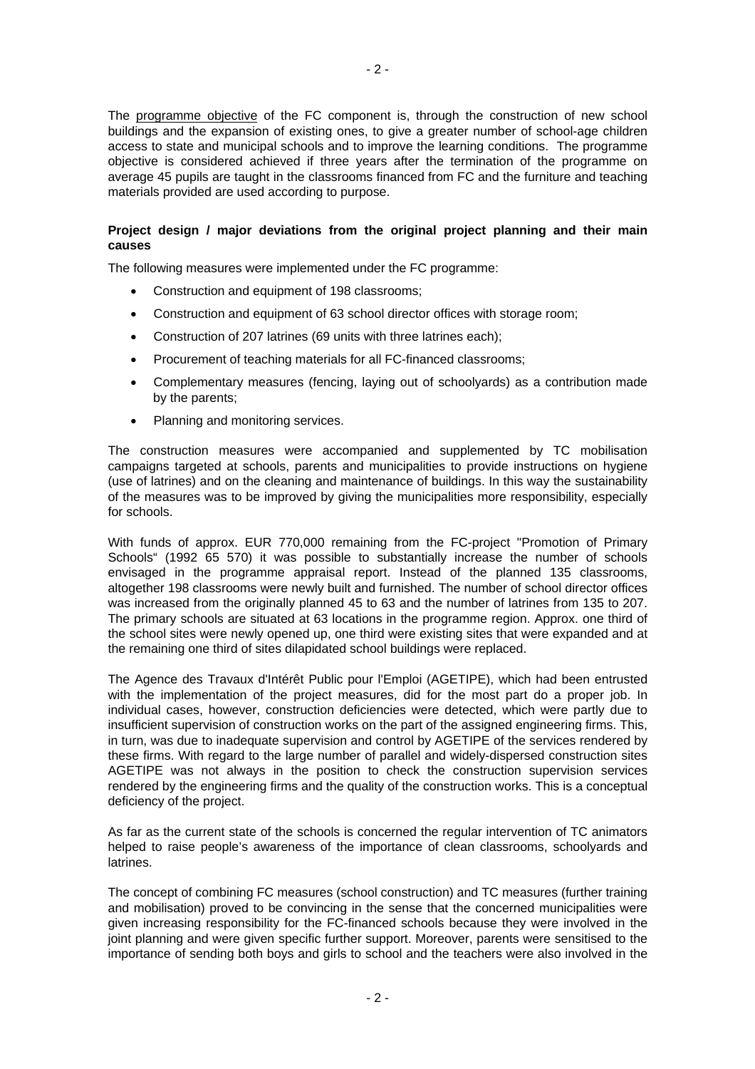The programme objective of the FC component is, through the construction of new school buildings and the expansion of existing ones, to give a greater number of school-age children access to state and municipal schools and to improve the learning conditions. The programme objective is considered achieved if three years after the termination of the programme on average 45 pupils are taught in the classrooms financed from FC and the furniture and teaching materials provided are used according to purpose.

## **Project design / major deviations from the original project planning and their main causes**

The following measures were implemented under the FC programme:

- Construction and equipment of 198 classrooms;
- Construction and equipment of 63 school director offices with storage room;
- Construction of 207 latrines (69 units with three latrines each);
- Procurement of teaching materials for all FC-financed classrooms;
- Complementary measures (fencing, laying out of schoolyards) as a contribution made by the parents;
- Planning and monitoring services.

The construction measures were accompanied and supplemented by TC mobilisation campaigns targeted at schools, parents and municipalities to provide instructions on hygiene (use of latrines) and on the cleaning and maintenance of buildings. In this way the sustainability of the measures was to be improved by giving the municipalities more responsibility, especially for schools.

With funds of approx. EUR 770,000 remaining from the FC-project "Promotion of Primary Schools" (1992 65 570) it was possible to substantially increase the number of schools envisaged in the programme appraisal report. Instead of the planned 135 classrooms, altogether 198 classrooms were newly built and furnished. The number of school director offices was increased from the originally planned 45 to 63 and the number of latrines from 135 to 207. The primary schools are situated at 63 locations in the programme region. Approx. one third of the school sites were newly opened up, one third were existing sites that were expanded and at the remaining one third of sites dilapidated school buildings were replaced.

The Agence des Travaux d'Intérêt Public pour l'Emploi (AGETIPE), which had been entrusted with the implementation of the project measures, did for the most part do a proper job. In individual cases, however, construction deficiencies were detected, which were partly due to insufficient supervision of construction works on the part of the assigned engineering firms. This, in turn, was due to inadequate supervision and control by AGETIPE of the services rendered by these firms. With regard to the large number of parallel and widely-dispersed construction sites AGETIPE was not always in the position to check the construction supervision services rendered by the engineering firms and the quality of the construction works. This is a conceptual deficiency of the project.

As far as the current state of the schools is concerned the regular intervention of TC animators helped to raise people's awareness of the importance of clean classrooms, schoolyards and latrines.

The concept of combining FC measures (school construction) and TC measures (further training and mobilisation) proved to be convincing in the sense that the concerned municipalities were given increasing responsibility for the FC-financed schools because they were involved in the joint planning and were given specific further support. Moreover, parents were sensitised to the importance of sending both boys and girls to school and the teachers were also involved in the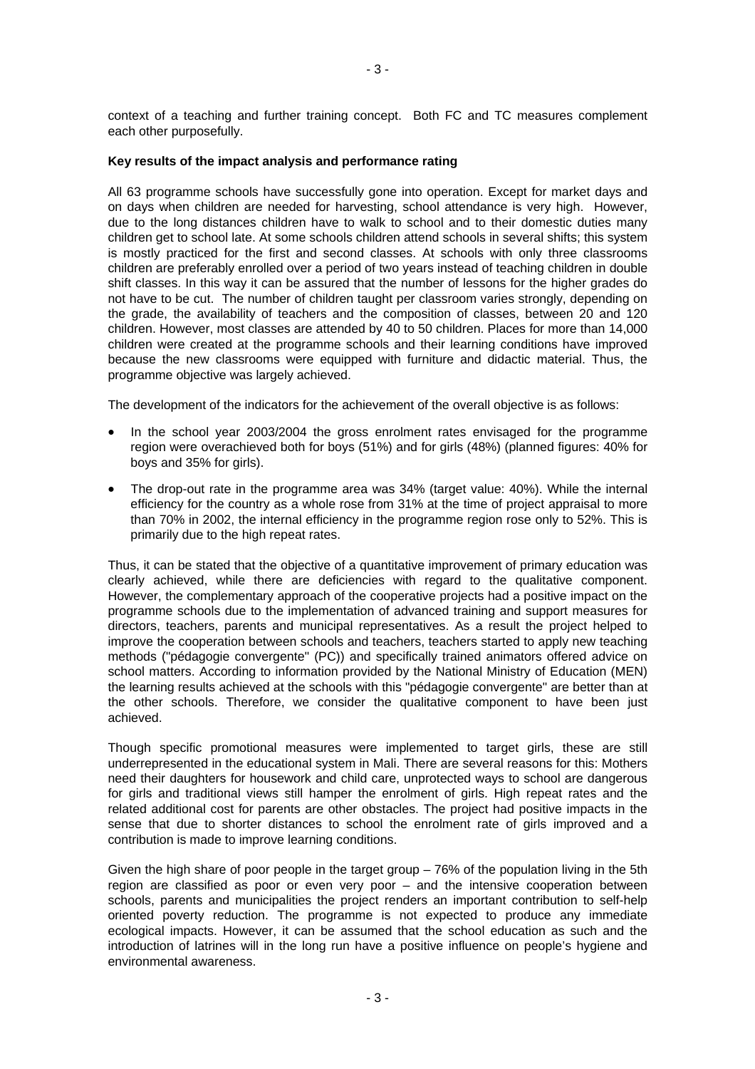context of a teaching and further training concept. Both FC and TC measures complement each other purposefully.

#### **Key results of the impact analysis and performance rating**

All 63 programme schools have successfully gone into operation. Except for market days and on days when children are needed for harvesting, school attendance is very high. However, due to the long distances children have to walk to school and to their domestic duties many children get to school late. At some schools children attend schools in several shifts; this system is mostly practiced for the first and second classes. At schools with only three classrooms children are preferably enrolled over a period of two years instead of teaching children in double shift classes. In this way it can be assured that the number of lessons for the higher grades do not have to be cut. The number of children taught per classroom varies strongly, depending on the grade, the availability of teachers and the composition of classes, between 20 and 120 children. However, most classes are attended by 40 to 50 children. Places for more than 14,000 children were created at the programme schools and their learning conditions have improved because the new classrooms were equipped with furniture and didactic material. Thus, the programme objective was largely achieved.

The development of the indicators for the achievement of the overall objective is as follows:

- In the school year 2003/2004 the gross enrolment rates envisaged for the programme region were overachieved both for boys (51%) and for girls (48%) (planned figures: 40% for boys and 35% for girls).
- The drop-out rate in the programme area was 34% (target value: 40%). While the internal efficiency for the country as a whole rose from 31% at the time of project appraisal to more than 70% in 2002, the internal efficiency in the programme region rose only to 52%. This is primarily due to the high repeat rates.

Thus, it can be stated that the objective of a quantitative improvement of primary education was clearly achieved, while there are deficiencies with regard to the qualitative component. However, the complementary approach of the cooperative projects had a positive impact on the programme schools due to the implementation of advanced training and support measures for directors, teachers, parents and municipal representatives. As a result the project helped to improve the cooperation between schools and teachers, teachers started to apply new teaching methods ("pédagogie convergente" (PC)) and specifically trained animators offered advice on school matters. According to information provided by the National Ministry of Education (MEN) the learning results achieved at the schools with this "pédagogie convergente" are better than at the other schools. Therefore, we consider the qualitative component to have been just achieved.

Though specific promotional measures were implemented to target girls, these are still underrepresented in the educational system in Mali. There are several reasons for this: Mothers need their daughters for housework and child care, unprotected ways to school are dangerous for girls and traditional views still hamper the enrolment of girls. High repeat rates and the related additional cost for parents are other obstacles. The project had positive impacts in the sense that due to shorter distances to school the enrolment rate of girls improved and a contribution is made to improve learning conditions.

Given the high share of poor people in the target group – 76% of the population living in the 5th region are classified as poor or even very poor – and the intensive cooperation between schools, parents and municipalities the project renders an important contribution to self-help oriented poverty reduction. The programme is not expected to produce any immediate ecological impacts. However, it can be assumed that the school education as such and the introduction of latrines will in the long run have a positive influence on people's hygiene and environmental awareness.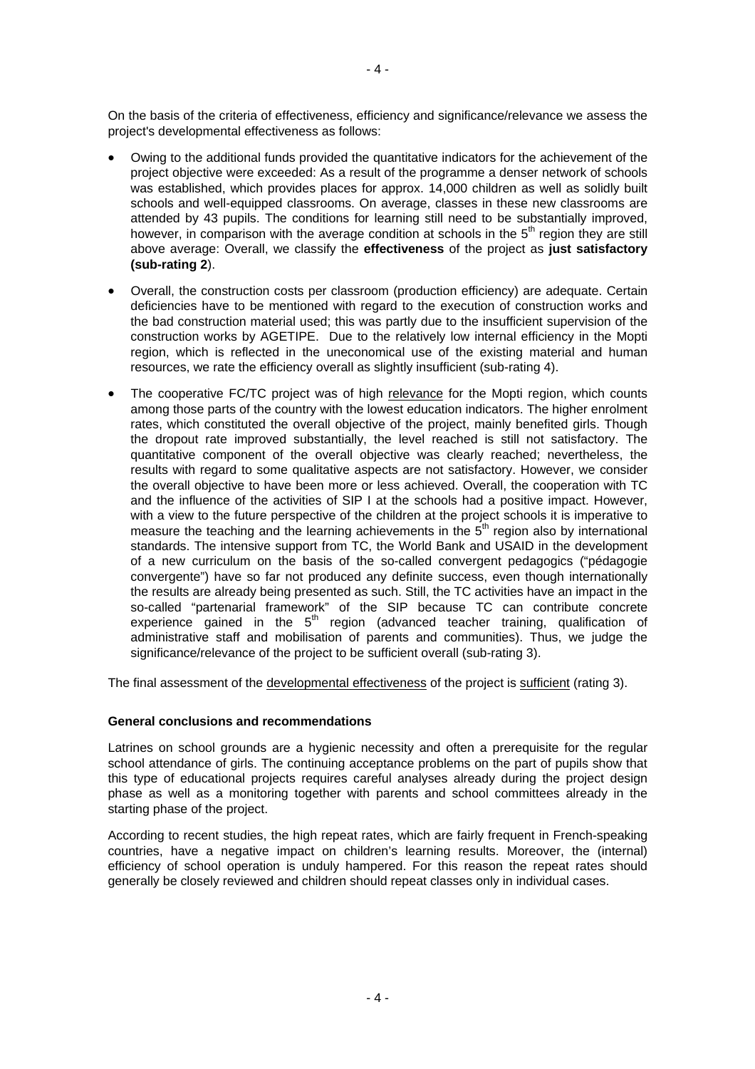On the basis of the criteria of effectiveness, efficiency and significance/relevance we assess the project's developmental effectiveness as follows:

- Owing to the additional funds provided the quantitative indicators for the achievement of the project objective were exceeded: As a result of the programme a denser network of schools was established, which provides places for approx. 14,000 children as well as solidly built schools and well-equipped classrooms. On average, classes in these new classrooms are attended by 43 pupils. The conditions for learning still need to be substantially improved, however, in comparison with the average condition at schools in the  $5<sup>th</sup>$  region they are still above average: Overall, we classify the **effectiveness** of the project as **just satisfactory (sub-rating 2**).
- Overall, the construction costs per classroom (production efficiency) are adequate. Certain deficiencies have to be mentioned with regard to the execution of construction works and the bad construction material used; this was partly due to the insufficient supervision of the construction works by AGETIPE. Due to the relatively low internal efficiency in the Mopti region, which is reflected in the uneconomical use of the existing material and human resources, we rate the efficiency overall as slightly insufficient (sub-rating 4).
- The cooperative FC/TC project was of high relevance for the Mopti region, which counts among those parts of the country with the lowest education indicators. The higher enrolment rates, which constituted the overall objective of the project, mainly benefited girls. Though the dropout rate improved substantially, the level reached is still not satisfactory. The quantitative component of the overall objective was clearly reached; nevertheless, the results with regard to some qualitative aspects are not satisfactory. However, we consider the overall objective to have been more or less achieved. Overall, the cooperation with TC and the influence of the activities of SIP I at the schools had a positive impact. However, with a view to the future perspective of the children at the project schools it is imperative to measure the teaching and the learning achievements in the  $5<sup>th</sup>$  region also by international standards. The intensive support from TC, the World Bank and USAID in the development of a new curriculum on the basis of the so-called convergent pedagogics ("pédagogie convergente") have so far not produced any definite success, even though internationally the results are already being presented as such. Still, the TC activities have an impact in the so-called "partenarial framework" of the SIP because TC can contribute concrete experience gained in the  $5<sup>th</sup>$  region (advanced teacher training, qualification of administrative staff and mobilisation of parents and communities). Thus, we judge the significance/relevance of the project to be sufficient overall (sub-rating 3).

The final assessment of the developmental effectiveness of the project is sufficient (rating 3).

## **General conclusions and recommendations**

Latrines on school grounds are a hygienic necessity and often a prerequisite for the regular school attendance of girls. The continuing acceptance problems on the part of pupils show that this type of educational projects requires careful analyses already during the project design phase as well as a monitoring together with parents and school committees already in the starting phase of the project.

According to recent studies, the high repeat rates, which are fairly frequent in French-speaking countries, have a negative impact on children's learning results. Moreover, the (internal) efficiency of school operation is unduly hampered. For this reason the repeat rates should generally be closely reviewed and children should repeat classes only in individual cases.